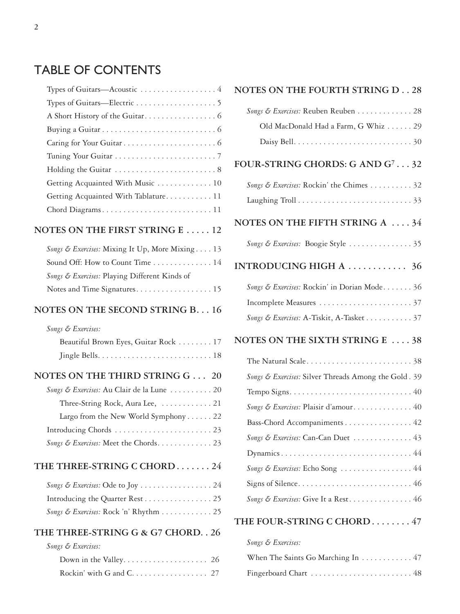## TABLE OF CONTENTS

| Types of Guitars—Acoustic $\dots \dots \dots \dots \dots$ |
|-----------------------------------------------------------|
|                                                           |
|                                                           |
|                                                           |
|                                                           |
|                                                           |
|                                                           |
| Getting Acquainted With Music 10                          |
| Getting Acquainted With Tablature 11                      |
|                                                           |
| <b>NOTES ON THE FIRST STRING E  12</b>                    |
| Songs & Exercises: Mixing It Up, More Mixing 13           |
| Sound Off: How to Count Time 14                           |
| Songs & Exercises: Playing Different Kinds of             |
|                                                           |
| NOTES ON THE SECOND STRING B. 16                          |
| Songs & Exercises:                                        |
| Beautiful Brown Eyes, Guitar Rock 17                      |
|                                                           |
| NOTES ON THE THIRD STRING G 20                            |
| Songs & Exercises: Au Clair de la Lune  20                |
| Three-String Rock, Aura Lee,  21                          |
| Largo from the New World Symphony 22                      |
|                                                           |
| Songs & Exercises: Meet the Chords 23                     |
| THE THREE-STRING C CHORD24                                |
| Songs & Exercises: Ode to Joy  24                         |
| Introducing the Quarter Rest 25                           |
| Songs & Exercises: Rock 'n' Rhythm 25                     |
| THE THREE-STRING G & G7 CHORD. . 26                       |
| Songs & Exercises:                                        |
|                                                           |
| Rockin' with G and C. 27                                  |

#### **NOTES ON THE FOURTH STRING D . . 28**

| Songs & Exercises: Reuben Reuben 28                  |
|------------------------------------------------------|
| Old MacDonald Had a Farm, G Whiz 29                  |
|                                                      |
| FOUR-STRING CHORDS: G AND G <sup>7</sup> 32          |
| Songs & Exercises: Rockin' the Chimes 32             |
|                                                      |
| NOTES ON THE FIFTH STRING A  34                      |
|                                                      |
| INTRODUCING HIGH A  36                               |
| Songs & Exercises: Rockin' in Dorian Mode 36         |
|                                                      |
| Songs & Exercises: A-Tiskit, A-Tasket37              |
| NOTES ON THE SIXTH STRING E  38                      |
| The Natural Scale38                                  |
| Songs & Exercises: Silver Threads Among the Gold. 39 |
|                                                      |
| Songs & Exercises: Plaisir d'amour 40                |
| Bass-Chord Accompaniments 42                         |
| Songs & Exercises: Can-Can Duet  43                  |
| Dynamics44                                           |
| Songs & Exercises: Echo Song  44                     |
|                                                      |
| Songs & Exercises: Give It a Rest 46                 |
| THE FOUR-STRING C CHORD  47                          |

| Songs & Exercises: |  |  |
|--------------------|--|--|

| When The Saints Go Marching In 47 |  |
|-----------------------------------|--|
|                                   |  |